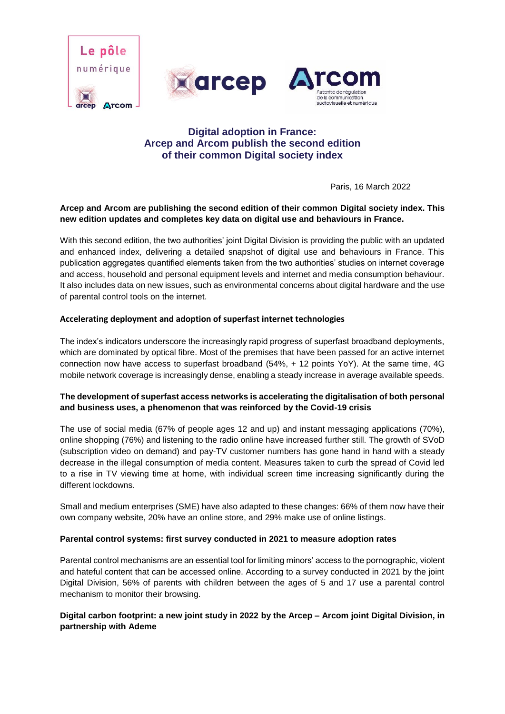





# **Digital adoption in France: Arcep and Arcom publish the second edition of their common Digital society index**

Paris, 16 March 2022

## **Arcep and Arcom are publishing the second edition of their common Digital society index. This new edition updates and completes key data on digital use and behaviours in France.**

With this second edition, the two authorities' joint Digital Division is providing the public with an updated and enhanced index, delivering a detailed snapshot of digital use and behaviours in France. This publication aggregates quantified elements taken from the two authorities' studies on internet coverage and access, household and personal equipment levels and internet and media consumption behaviour. It also includes data on new issues, such as environmental concerns about digital hardware and the use of parental control tools on the internet.

# **Accelerating deployment and adoption of superfast internet technologies**

The index's indicators underscore the increasingly rapid progress of superfast broadband deployments, which are dominated by optical fibre. Most of the premises that have been passed for an active internet connection now have access to superfast broadband (54%, + 12 points YoY). At the same time, 4G mobile network coverage is increasingly dense, enabling a steady increase in average available speeds.

# **The development of superfast access networks is accelerating the digitalisation of both personal and business uses, a phenomenon that was reinforced by the Covid-19 crisis**

The use of social media (67% of people ages 12 and up) and instant messaging applications (70%), online shopping (76%) and listening to the radio online have increased further still. The growth of SVoD (subscription video on demand) and pay-TV customer numbers has gone hand in hand with a steady decrease in the illegal consumption of media content. Measures taken to curb the spread of Covid led to a rise in TV viewing time at home, with individual screen time increasing significantly during the different lockdowns.

Small and medium enterprises (SME) have also adapted to these changes: 66% of them now have their own company website, 20% have an online store, and 29% make use of online listings.

### **Parental control systems: first survey conducted in 2021 to measure adoption rates**

Parental control mechanisms are an essential tool for limiting minors' access to the pornographic, violent and hateful content that can be accessed online. According to a survey conducted in 2021 by the joint Digital Division, 56% of parents with children between the ages of 5 and 17 use a parental control mechanism to monitor their browsing.

### **Digital carbon footprint: a new joint study in 2022 by the Arcep – Arcom joint Digital Division, in partnership with Ademe**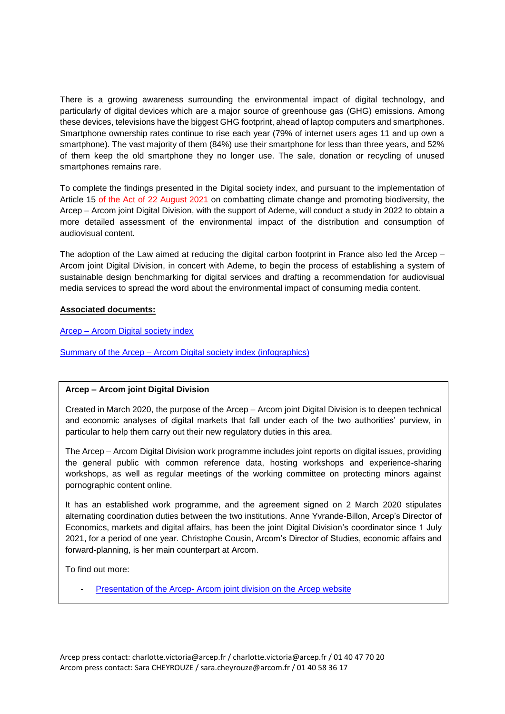There is a growing awareness surrounding the environmental impact of digital technology, and particularly of digital devices which are a major source of greenhouse gas (GHG) emissions. Among these devices, televisions have the biggest GHG footprint, ahead of laptop computers and smartphones. Smartphone ownership rates continue to rise each year (79% of internet users ages 11 and up own a smartphone). The vast majority of them (84%) use their smartphone for less than three years, and 52% of them keep the old smartphone they no longer use. The sale, donation or recycling of unused smartphones remains rare.

To complete the findings presented in the Digital society index, and pursuant to the implementation of Article 15 of the Act of 22 August 2021 on combatting climate change and promoting biodiversity, the Arcep – Arcom joint Digital Division, with the support of Ademe, will conduct a study in 2022 to obtain a more detailed assessment of the environmental impact of the distribution and consumption of audiovisual content.

The adoption of the Law aimed at reducing the digital carbon footprint in France also led the Arcep – Arcom joint Digital Division, in concert with Ademe, to begin the process of establishing a system of sustainable design benchmarking for digital services and drafting a recommendation for audiovisual media services to spread the word about the environmental impact of consuming media content.

### **Associated documents:**

[Arcep –](https://www.arcep.fr/fileadmin/cru-1646749487/user_upload/pole-numerique-arcep-arcom/referentiel-usages-numeriques-arcep-arcom_mars2022.pdf) Arcom Digital society index

Summary of the Arcep – [Arcom Digital society index \(infographics\)](https://www.arcep.fr/fileadmin/cru-1646749487/user_upload/pole-numerique-arcep-arcom/synthese-referentiel-usages-numeriques-arcep-arcom_mars2022.pdf)

# **Arcep – Arcom joint Digital Division**

Created in March 2020, the purpose of the Arcep – Arcom joint Digital Division is to deepen technical and economic analyses of digital markets that fall under each of the two authorities' purview, in particular to help them carry out their new regulatory duties in this area.

The Arcep – Arcom Digital Division work programme includes joint reports on digital issues, providing the general public with common reference data, hosting workshops and experience-sharing workshops, as well as regular meetings of the working committee on protecting minors against pornographic content online.

It has an established work programme, and the agreement signed on 2 March 2020 stipulates alternating coordination duties between the two institutions. Anne Yvrande-Billon, Arcep's Director of Economics, markets and digital affairs, has been the joint Digital Division's coordinator since 1 July 2021, for a period of one year. Christophe Cousin, Arcom's Director of Studies, economic affairs and forward-planning, is her main counterpart at Arcom.

To find out more:

Presentation of the Arcep- [Arcom joint division on the](https://www.arcep.fr/la-regulation/grands-dossiers-thematiques-transverses/le-pole-numerique-arcep-arcom.html) Arcep website